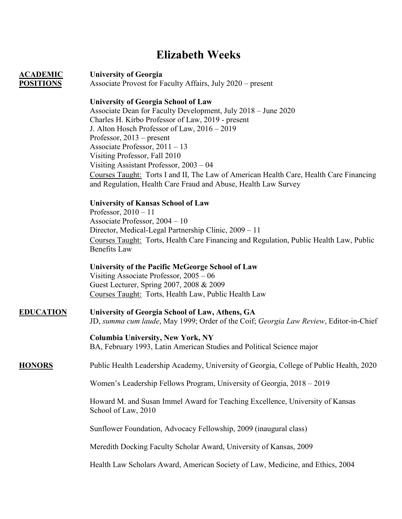# **Elizabeth Weeks**

**ACADEMIC University of Georgia POSITIONS** Associate Provost for Faculty Affairs, July 2020 – present

### **University of Georgia School of Law**

Associate Dean for Faculty Development, July 2018 – June 2020 Charles H. Kirbo Professor of Law, 2019 - present J. Alton Hosch Professor of Law, 2016 – 2019 Professor, 2013 – present Associate Professor, 2011 – 13 Visiting Professor, Fall 2010 Visiting Assistant Professor, 2003 – 04 Courses Taught: Torts I and II, The Law of American Health Care, Health Care Financing and Regulation, Health Care Fraud and Abuse, Health Law Survey

### **University of Kansas School of Law**

Professor, 2010 – 11 Associate Professor, 2004 – 10 Director, Medical-Legal Partnership Clinic, 2009 – 11 Courses Taught: Torts, Health Care Financing and Regulation, Public Health Law, Public Benefits Law

**University of the Pacific McGeorge School of Law** Visiting Associate Professor, 2005 – 06 Guest Lecturer, Spring 2007, 2008 & 2009 Courses Taught: Torts, Health Law, Public Health Law

## **EDUCATION University of Georgia School of Law, Athens, GA**

JD, *summa cum laude*, May 1999; Order of the Coif; *Georgia Law Review*, Editor-in-Chief

### **Columbia University, New York, NY**

BA, February 1993, Latin American Studies and Political Science major

### **HONORS** Public Health Leadership Academy, University of Georgia, College of Public Health, 2020

Women's Leadership Fellows Program, University of Georgia, 2018 – 2019

Howard M. and Susan Immel Award for Teaching Excellence, University of Kansas School of Law, 2010

Sunflower Foundation, Advocacy Fellowship, 2009 (inaugural class)

Meredith Docking Faculty Scholar Award, University of Kansas, 2009

Health Law Scholars Award, American Society of Law, Medicine, and Ethics, 2004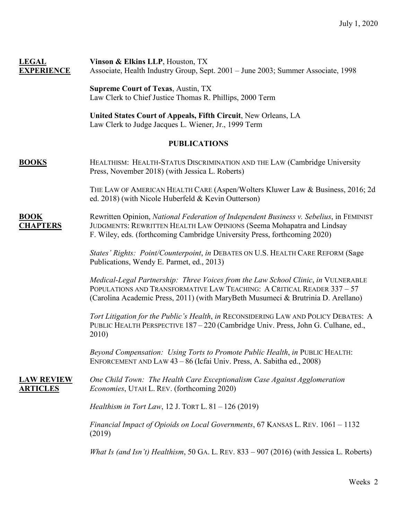| <b>LEGAL</b><br><b>EXPERIENCE</b>            | Vinson & Elkins LLP, Houston, TX<br>Associate, Health Industry Group, Sept. 2001 - June 2003; Summer Associate, 1998                                                                                                                             |
|----------------------------------------------|--------------------------------------------------------------------------------------------------------------------------------------------------------------------------------------------------------------------------------------------------|
|                                              | <b>Supreme Court of Texas, Austin, TX</b><br>Law Clerk to Chief Justice Thomas R. Phillips, 2000 Term                                                                                                                                            |
|                                              | United States Court of Appeals, Fifth Circuit, New Orleans, LA<br>Law Clerk to Judge Jacques L. Wiener, Jr., 1999 Term                                                                                                                           |
| <b>PUBLICATIONS</b>                          |                                                                                                                                                                                                                                                  |
| <b>BOOKS</b>                                 | HEALTHISM: HEALTH-STATUS DISCRIMINATION AND THE LAW (Cambridge University<br>Press, November 2018) (with Jessica L. Roberts)                                                                                                                     |
|                                              | THE LAW OF AMERICAN HEALTH CARE (Aspen/Wolters Kluwer Law & Business, 2016; 2d<br>ed. 2018) (with Nicole Huberfeld & Kevin Outterson)                                                                                                            |
| $\overline{ \text{BOOK}}$<br><b>CHAPTERS</b> | Rewritten Opinion, National Federation of Independent Business v. Sebelius, in FEMINIST<br>JUDGMENTS: REWRITTEN HEALTH LAW OPINIONS (Seema Mohapatra and Lindsay<br>F. Wiley, eds. (forthcoming Cambridge University Press, forthcoming 2020)    |
|                                              | States' Rights: Point/Counterpoint, in DEBATES ON U.S. HEALTH CARE REFORM (Sage<br>Publications, Wendy E. Parmet, ed., 2013)                                                                                                                     |
|                                              | Medical-Legal Partnership: Three Voices from the Law School Clinic, in VULNERABLE<br>POPULATIONS AND TRANSFORMATIVE LAW TEACHING: A CRITICAL READER 337 - 57<br>(Carolina Academic Press, 2011) (with MaryBeth Musumeci & Brutrinia D. Arellano) |
|                                              | Tort Litigation for the Public's Health, in RECONSIDERING LAW AND POLICY DEBATES: A<br>PUBLIC HEALTH PERSPECTIVE 187 - 220 (Cambridge Univ. Press, John G. Culhane, ed.,<br>2010)                                                                |
|                                              | Beyond Compensation: Using Torts to Promote Public Health, in PUBLIC HEALTH:<br>ENFORCEMENT AND LAW 43 - 86 (Icfai Univ. Press, A. Sabitha ed., 2008)                                                                                            |
| <b>LAW REVIEW</b><br><b>ARTICLES</b>         | One Child Town: The Health Care Exceptionalism Case Against Agglomeration<br>Economies, UTAH L. REV. (forthcoming 2020)                                                                                                                          |
|                                              | <i>Healthism in Tort Law</i> , 12 J. TORT L. $81 - 126$ (2019)                                                                                                                                                                                   |
|                                              | Financial Impact of Opioids on Local Governments, 67 KANSAS L. REV. 1061 - 1132<br>(2019)                                                                                                                                                        |
|                                              | What Is (and Isn't) Healthism, 50 GA. L. REV. $833 - 907$ (2016) (with Jessica L. Roberts)                                                                                                                                                       |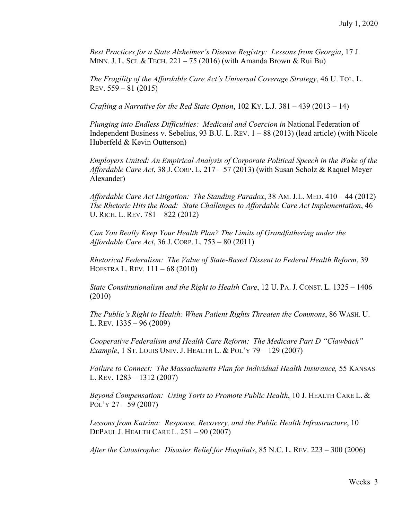*Best Practices for a State Alzheimer's Disease Registry: Lessons from Georgia*, 17 J. MINN. J. L. SCI. & TECH.  $221 - 75$  (2016) (with Amanda Brown & Rui Bu)

*The Fragility of the Affordable Care Act's Universal Coverage Strategy*, 46 U. TOL. L. REV. 559 – 81 (2015)

*Crafting a Narrative for the Red State Option*, 102 KY. L.J. 381 – 439 (2013 – 14)

*Plunging into Endless Difficulties: Medicaid and Coercion in* National Federation of Independent Business v. Sebelius, 93 B.U. L. REV.  $1 - 88$  (2013) (lead article) (with Nicole Huberfeld & Kevin Outterson)

*Employers United: An Empirical Analysis of Corporate Political Speech in the Wake of the Affordable Care Act*, 38 J. CORP. L. 217 – 57 (2013) (with Susan Scholz & Raquel Meyer Alexander)

*Affordable Care Act Litigation: The Standing Paradox*, 38 AM. J.L. MED. 410 – 44 (2012) *The Rhetoric Hits the Road: State Challenges to Affordable Care Act Implementation*, 46 U. RICH. L. REV. 781 – 822 (2012)

*Can You Really Keep Your Health Plan? The Limits of Grandfathering under the Affordable Care Act*, 36 J. CORP. L. 753 – 80 (2011)

*Rhetorical Federalism: The Value of State-Based Dissent to Federal Health Reform*, 39 HOFSTRA L. REV. 111 – 68 (2010)

*State Constitutionalism and the Right to Health Care*, 12 U. PA. J. CONST. L. 1325 – 1406 (2010)

*The Public's Right to Health: When Patient Rights Threaten the Commons*, 86 WASH. U. L. REV. 1335 – 96 (2009)

*Cooperative Federalism and Health Care Reform: The Medicare Part D "Clawback" Example*, 1 ST. LOUIS UNIV. J. HEALTH L. & POL'Y 79 – 129 (2007)

*Failure to Connect: The Massachusetts Plan for Individual Health Insurance,* 55 KANSAS L. REV. 1283 – 1312 (2007)

*Beyond Compensation: Using Torts to Promote Public Health*, 10 J. HEALTH CARE L. & POL'Y  $27 - 59$  (2007)

*Lessons from Katrina: Response, Recovery, and the Public Health Infrastructure*, 10 DEPAUL J. HEALTH CARE L. 251 – 90 (2007)

*After the Catastrophe: Disaster Relief for Hospitals*, 85 N.C. L. REV. 223 – 300 (2006)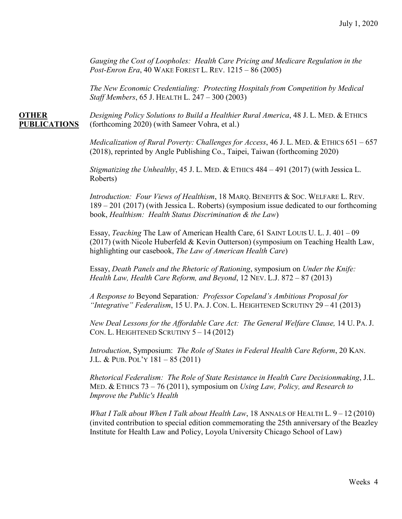*Gauging the Cost of Loopholes: Health Care Pricing and Medicare Regulation in the Post-Enron Era*, 40 WAKE FOREST L. REV. 1215 – 86 (2005)

*The New Economic Credentialing: Protecting Hospitals from Competition by Medical Staff Members*, 65 J. HEALTH L. 247 – 300 (2003)

**OTHER** *Designing Policy Solutions to Build a Healthier Rural America*, 48 J. L. MED. & ETHICS **PUBLICATIONS** (forthcoming 2020) (with Sameer Vohra, et al.)

> *Medicalization of Rural Poverty: Challenges for Access*, 46 J. L. MED. & ETHICS 651 – 657 (2018), reprinted by Angle Publishing Co., Taipei, Taiwan (forthcoming 2020)

*Stigmatizing the Unhealthy*, 45 J. L. MED. & ETHICS 484 – 491 (2017) (with Jessica L. Roberts)

*Introduction: Four Views of Healthism*, 18 MARQ. BENEFITS & SOC. WELFARE L. REV. 189 – 201 (2017) (with Jessica L. Roberts) (symposium issue dedicated to our forthcoming book, *Healthism: Health Status Discrimination & the Law*)

Essay, *Teaching* The Law of American Health Care, 61 SAINT LOUIS U. L. J. 401 – 09 (2017) (with Nicole Huberfeld & Kevin Outterson) (symposium on Teaching Health Law, highlighting our casebook, *The Law of American Health Care*)

Essay, *Death Panels and the Rhetoric of Rationing*, symposium on *Under the Knife: Health Law, Health Care Reform, and Beyond*, 12 NEV. L.J. 872 – 87 (2013)

*A Response to* Beyond Separation*: Professor Copeland's Ambitious Proposal for "Integrative" Federalism*, 15 U. PA. J. CON. L. HEIGHTENED SCRUTINY 29 – 41 (2013)

*New Deal Lessons for the Affordable Care Act: The General Welfare Clause,* 14 U. PA. J. CON. L. HEIGHTENED SCRUTINY 5 – 14 (2012)

*Introduction*, Symposium: *The Role of States in Federal Health Care Reform*, 20 KAN. J.L. & PUB. POL'Y 181 – 85 (2011)

*Rhetorical Federalism: The Role of State Resistance in Health Care Decisionmaking*, J.L. MED. & ETHICS 73 – 76 (2011), symposium on *Using Law, Policy, and Research to Improve the Public's Health*

*What I Talk about When I Talk about Health Law*, 18 ANNALS OF HEALTH L. 9 – 12 (2010) (invited contribution to special edition commemorating the 25th anniversary of the Beazley Institute for Health Law and Policy, Loyola University Chicago School of Law)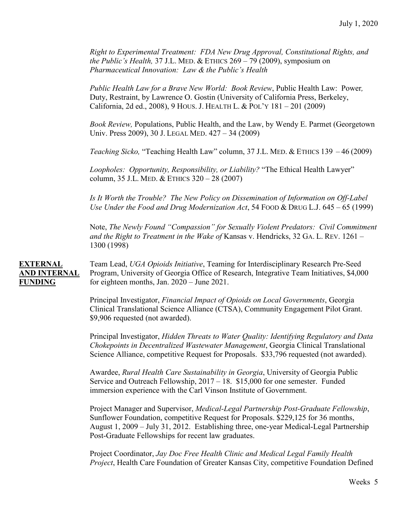*Right to Experimental Treatment: FDA New Drug Approval, Constitutional Rights, and the Public's Health,* 37 J.L. MED. & ETHICS 269 – 79 (2009), symposium on *Pharmaceutical Innovation: Law & the Public's Health*

*Public Health Law for a Brave New World: Book Review*, Public Health Law: Power*,*  Duty, Restraint, by Lawrence O. Gostin (University of California Press, Berkeley, California, 2d ed., 2008), 9 HOUS. J. HEALTH L. & POL'Y 181 – 201 (2009)

*Book Review,* Populations, Public Health, and the Law, by Wendy E. Parmet (Georgetown Univ. Press 2009), 30 J. LEGAL MED. 427 – 34 (2009)

*Teaching Sicko,* "Teaching Health Law" column, 37 J.L. MED. & ETHICS 139 – 46 (2009)

*Loopholes: Opportunity, Responsibility, or Liability?* "The Ethical Health Lawyer" column, 35 J.L. MED. & ETHICS 320 – 28 (2007)

*Is It Worth the Trouble? The New Policy on Dissemination of Information on Off-Label Use Under the Food and Drug Modernization Act*, 54 FOOD & DRUG L.J. 645 – 65 (1999)

Note, *The Newly Found "Compassion" for Sexually Violent Predators: Civil Commitment and the Right to Treatment in the Wake of* Kansas v. Hendricks, 32 GA. L. REV. 1261 – 1300 (1998)

**EXTERNAL** Team Lead, *UGA Opioids Initiative*, Teaming for Interdisciplinary Research Pre-Seed **AND INTERNAL** Program, University of Georgia Office of Research, Integrative Team Initiatives, \$4,000 **FUNDING** for eighteen months, Jan. 2020 – June 2021.

> Principal Investigator, *Financial Impact of Opioids on Local Governments*, Georgia Clinical Translational Science Alliance (CTSA), Community Engagement Pilot Grant. \$9,906 requested (not awarded).

Principal Investigator, *Hidden Threats to Water Quality: Identifying Regulatory and Data Chokepoints in Decentralized Wastewater Management*, Georgia Clinical Translational Science Alliance, competitive Request for Proposals. \$33,796 requested (not awarded).

Awardee, *Rural Health Care Sustainability in Georgia*, University of Georgia Public Service and Outreach Fellowship, 2017 – 18. \$15,000 for one semester. Funded immersion experience with the Carl Vinson Institute of Government.

Project Manager and Supervisor, *Medical-Legal Partnership Post-Graduate Fellowship*, Sunflower Foundation, competitive Request for Proposals. \$229,125 for 36 months, August 1, 2009 – July 31, 2012. Establishing three, one-year Medical-Legal Partnership Post-Graduate Fellowships for recent law graduates.

Project Coordinator, *Jay Doc Free Health Clinic and Medical Legal Family Health Project*, Health Care Foundation of Greater Kansas City, competitive Foundation Defined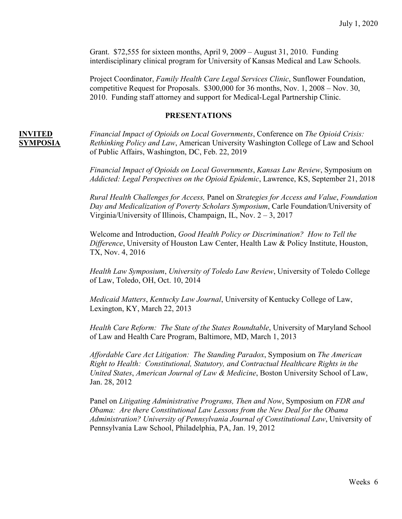Grant. \$72,555 for sixteen months, April 9, 2009 – August 31, 2010. Funding interdisciplinary clinical program for University of Kansas Medical and Law Schools.

Project Coordinator, *Family Health Care Legal Services Clinic*, Sunflower Foundation, competitive Request for Proposals. \$300,000 for 36 months, Nov. 1, 2008 – Nov. 30, 2010. Funding staff attorney and support for Medical-Legal Partnership Clinic.

### **PRESENTATIONS**

**INVITED** *Financial Impact of Opioids on Local Governments*, Conference on *The Opioid Crisis:*  **SYMPOSIA** *Rethinking Policy and Law*, American University Washington College of Law and School of Public Affairs, Washington, DC, Feb. 22, 2019

> *Financial Impact of Opioids on Local Governments*, *Kansas Law Review*, Symposium on *Addicted: Legal Perspectives on the Opioid Epidemic*, Lawrence, KS, September 21, 2018

> *Rural Health Challenges for Access,* Panel on *Strategies for Access and Value*, *Foundation Day and Medicalization of Poverty Scholars Symposium*, Carle Foundation/University of Virginia/University of Illinois, Champaign, IL, Nov. 2 – 3, 2017

Welcome and Introduction, *Good Health Policy or Discrimination? How to Tell the Difference*, University of Houston Law Center, Health Law & Policy Institute, Houston, TX, Nov. 4, 2016

*Health Law Symposium*, *University of Toledo Law Review*, University of Toledo College of Law, Toledo, OH, Oct. 10, 2014

*Medicaid Matters*, *Kentucky Law Journal*, University of Kentucky College of Law, Lexington, KY, March 22, 2013

*Health Care Reform: The State of the States Roundtable*, University of Maryland School of Law and Health Care Program, Baltimore, MD, March 1, 2013

*Affordable Care Act Litigation: The Standing Paradox*, Symposium on *The American Right to Health: Constitutional, Statutory, and Contractual Healthcare Rights in the United States*, *American Journal of Law & Medicine*, Boston University School of Law, Jan. 28, 2012

Panel on *Litigating Administrative Programs, Then and Now*, Symposium on *FDR and Obama: Are there Constitutional Law Lessons from the New Deal for the Obama Administration? University of Pennsylvania Journal of Constitutional Law*, University of Pennsylvania Law School, Philadelphia, PA, Jan. 19, 2012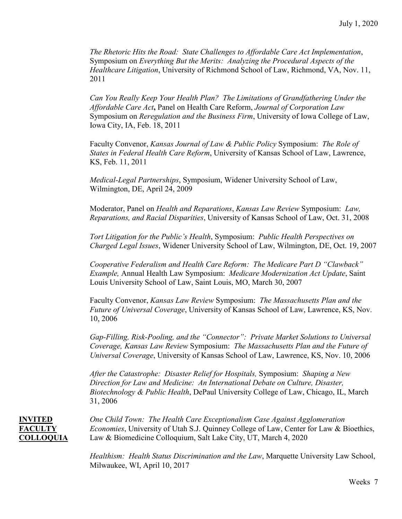*The Rhetoric Hits the Road: State Challenges to Affordable Care Act Implementation*, Symposium on *Everything But the Merits: Analyzing the Procedural Aspects of the Healthcare Litigation*, University of Richmond School of Law, Richmond, VA, Nov. 11, 2011

*Can You Really Keep Your Health Plan? The Limitations of Grandfathering Under the Affordable Care Act***,** Panel on Health Care Reform, *Journal of Corporation Law* Symposium on *Reregulation and the Business Firm*, University of Iowa College of Law, Iowa City, IA, Feb. 18, 2011

Faculty Convenor, *Kansas Journal of Law & Public Policy* Symposium: *The Role of States in Federal Health Care Reform*, University of Kansas School of Law, Lawrence, KS, Feb. 11, 2011

*Medical-Legal Partnerships*, Symposium, Widener University School of Law, Wilmington, DE, April 24, 2009

Moderator, Panel on *Health and Reparations*, *Kansas Law Review* Symposium: *Law, Reparations, and Racial Disparities*, University of Kansas School of Law, Oct. 31, 2008

*Tort Litigation for the Public's Health*, Symposium: *Public Health Perspectives on Charged Legal Issues*, Widener University School of Law, Wilmington, DE, Oct. 19, 2007

*Cooperative Federalism and Health Care Reform: The Medicare Part D "Clawback" Example,* Annual Health Law Symposium: *Medicare Modernization Act Update*, Saint Louis University School of Law, Saint Louis, MO, March 30, 2007

Faculty Convenor, *Kansas Law Review* Symposium: *The Massachusetts Plan and the Future of Universal Coverage*, University of Kansas School of Law, Lawrence, KS, Nov. 10, 2006

*Gap-Filling, Risk-Pooling, and the "Connector": Private Market Solutions to Universal Coverage, Kansas Law Review* Symposium: *The Massachusetts Plan and the Future of Universal Coverage*, University of Kansas School of Law, Lawrence, KS, Nov. 10, 2006

*After the Catastrophe: Disaster Relief for Hospitals,* Symposium: *Shaping a New Direction for Law and Medicine: An International Debate on Culture, Disaster, Biotechnology & Public Health*, DePaul University College of Law, Chicago, IL, March 31, 2006

**INVITED** *One Child Town: The Health Care Exceptionalism Case Against Agglomeration* **FACULTY** *Economies*, University of Utah S.J. Quinney College of Law, Center for Law & Bioethics, **COLLOQUIA** Law & Biomedicine Colloquium, Salt Lake City, UT, March 4, 2020

> *Healthism: Health Status Discrimination and the Law*, Marquette University Law School, Milwaukee, WI, April 10, 2017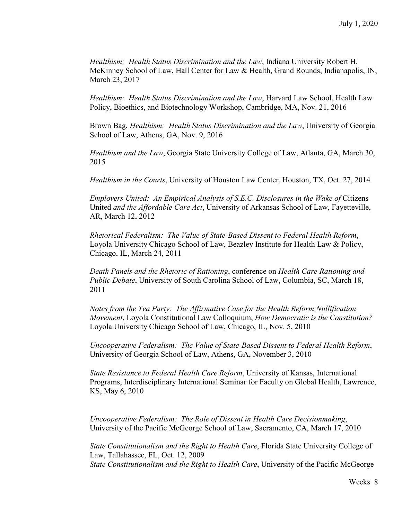*Healthism: Health Status Discrimination and the Law*, Indiana University Robert H. McKinney School of Law, Hall Center for Law & Health, Grand Rounds, Indianapolis, IN, March 23, 2017

*Healthism: Health Status Discrimination and the Law*, Harvard Law School, Health Law Policy, Bioethics, and Biotechnology Workshop, Cambridge, MA, Nov. 21, 2016

Brown Bag, *Healthism: Health Status Discrimination and the Law*, University of Georgia School of Law, Athens, GA, Nov. 9, 2016

*Healthism and the Law*, Georgia State University College of Law, Atlanta, GA, March 30, 2015

*Healthism in the Courts*, University of Houston Law Center, Houston, TX, Oct. 27, 2014

*Employers United: An Empirical Analysis of S.E.C. Disclosures in the Wake of Citizens* United *and the Affordable Care Act*, University of Arkansas School of Law, Fayetteville, AR, March 12, 2012

*Rhetorical Federalism: The Value of State-Based Dissent to Federal Health Reform*, Loyola University Chicago School of Law, Beazley Institute for Health Law & Policy, Chicago, IL, March 24, 2011

*Death Panels and the Rhetoric of Rationing*, conference on *Health Care Rationing and Public Debate*, University of South Carolina School of Law, Columbia, SC, March 18, 2011

*Notes from the Tea Party: The Affirmative Case for the Health Reform Nullification Movement*, Loyola Constitutional Law Colloquium, *How Democratic is the Constitution?* Loyola University Chicago School of Law, Chicago, IL, Nov. 5, 2010

*Uncooperative Federalism: The Value of State-Based Dissent to Federal Health Reform*, University of Georgia School of Law, Athens, GA, November 3, 2010

*State Resistance to Federal Health Care Reform*, University of Kansas, International Programs, Interdisciplinary International Seminar for Faculty on Global Health, Lawrence, KS, May 6, 2010

*Uncooperative Federalism: The Role of Dissent in Health Care Decisionmaking*, University of the Pacific McGeorge School of Law, Sacramento, CA, March 17, 2010

*State Constitutionalism and the Right to Health Care*, Florida State University College of Law, Tallahassee, FL, Oct. 12, 2009 *State Constitutionalism and the Right to Health Care*, University of the Pacific McGeorge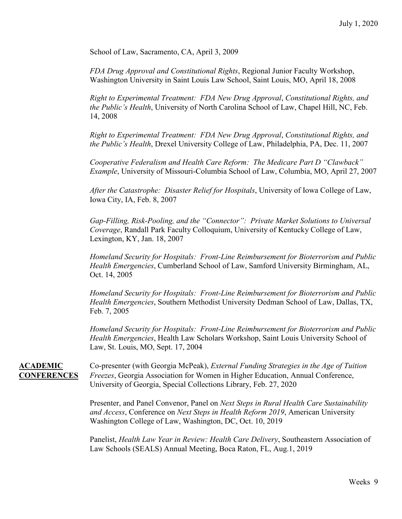School of Law, Sacramento, CA, April 3, 2009

*FDA Drug Approval and Constitutional Rights*, Regional Junior Faculty Workshop, Washington University in Saint Louis Law School, Saint Louis, MO, April 18, 2008

*Right to Experimental Treatment: FDA New Drug Approval*, *Constitutional Rights, and the Public's Health*, University of North Carolina School of Law, Chapel Hill, NC, Feb. 14, 2008

*Right to Experimental Treatment: FDA New Drug Approval*, *Constitutional Rights, and the Public's Health*, Drexel University College of Law, Philadelphia, PA, Dec. 11, 2007

*Cooperative Federalism and Health Care Reform: The Medicare Part D "Clawback" Example*, University of Missouri-Columbia School of Law, Columbia, MO, April 27, 2007

*After the Catastrophe: Disaster Relief for Hospitals*, University of Iowa College of Law, Iowa City, IA, Feb. 8, 2007

*Gap-Filling, Risk-Pooling, and the "Connector": Private Market Solutions to Universal Coverage*, Randall Park Faculty Colloquium, University of Kentucky College of Law, Lexington, KY, Jan. 18, 2007

*Homeland Security for Hospitals: Front-Line Reimbursement for Bioterrorism and Public Health Emergencies*, Cumberland School of Law, Samford University Birmingham, AL, Oct. 14, 2005

*Homeland Security for Hospitals: Front-Line Reimbursement for Bioterrorism and Public Health Emergencies*, Southern Methodist University Dedman School of Law, Dallas, TX, Feb. 7, 2005

*Homeland Security for Hospitals: Front-Line Reimbursement for Bioterrorism and Public Health Emergencies*, Health Law Scholars Workshop, Saint Louis University School of Law, St. Louis, MO, Sept. 17, 2004

**ACADEMIC** Co-presenter (with Georgia McPeak), *External Funding Strategies in the Age of Tuition* **CONFERENCES** *Freezes*, Georgia Association for Women in Higher Education, Annual Conference, University of Georgia, Special Collections Library, Feb. 27, 2020

> Presenter, and Panel Convenor, Panel on *Next Steps in Rural Health Care Sustainability and Access*, Conference on *Next Steps in Health Reform 2019*, American University Washington College of Law, Washington, DC, Oct. 10, 2019

Panelist, *Health Law Year in Review: Health Care Delivery*, Southeastern Association of Law Schools (SEALS) Annual Meeting, Boca Raton, FL, Aug.1, 2019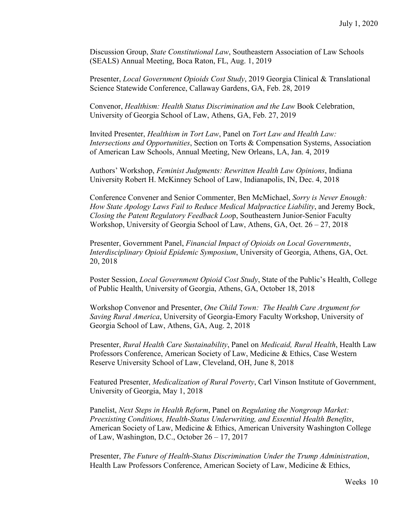Discussion Group, *State Constitutional Law*, Southeastern Association of Law Schools (SEALS) Annual Meeting, Boca Raton, FL, Aug. 1, 2019

Presenter, *Local Government Opioids Cost Study*, 2019 Georgia Clinical & Translational Science Statewide Conference, Callaway Gardens, GA, Feb. 28, 2019

Convenor, *Healthism: Health Status Discrimination and the Law* Book Celebration, University of Georgia School of Law, Athens, GA, Feb. 27, 2019

Invited Presenter, *Healthism in Tort Law*, Panel on *Tort Law and Health Law: Intersections and Opportunities*, Section on Torts & Compensation Systems, Association of American Law Schools, Annual Meeting, New Orleans, LA, Jan. 4, 2019

Authors' Workshop, *Feminist Judgments: Rewritten Health Law Opinions*, Indiana University Robert H. McKinney School of Law, Indianapolis, IN, Dec. 4, 2018

Conference Convener and Senior Commenter, Ben McMichael, *Sorry is Never Enough: How State Apology Laws Fail to Reduce Medical Malpractice Liability*, and Jeremy Bock, *Closing the Patent Regulatory Feedback Loo*p, Southeastern Junior-Senior Faculty Workshop, University of Georgia School of Law, Athens, GA, Oct.  $26 - 27$ , 2018

Presenter, Government Panel, *Financial Impact of Opioids on Local Governments*, *Interdisciplinary Opioid Epidemic Symposium*, University of Georgia, Athens, GA, Oct. 20, 2018

Poster Session, *Local Government Opioid Cost Study*, State of the Public's Health, College of Public Health, University of Georgia, Athens, GA, October 18, 2018

Workshop Convenor and Presenter, *One Child Town: The Health Care Argument for Saving Rural America*, University of Georgia-Emory Faculty Workshop, University of Georgia School of Law, Athens, GA, Aug. 2, 2018

Presenter, *Rural Health Care Sustainability*, Panel on *Medicaid, Rural Health*, Health Law Professors Conference, American Society of Law, Medicine & Ethics, Case Western Reserve University School of Law, Cleveland, OH, June 8, 2018

Featured Presenter, *Medicalization of Rural Poverty*, Carl Vinson Institute of Government, University of Georgia, May 1, 2018

Panelist, *Next Steps in Health Reform*, Panel on *Regulating the Nongroup Market: Preexisting Conditions, Health-Status Underwriting, and Essential Health Benefits*, American Society of Law, Medicine & Ethics, American University Washington College of Law, Washington, D.C., October 26 – 17, 2017

Presenter, *The Future of Health-Status Discrimination Under the Trump Administration*, Health Law Professors Conference, American Society of Law, Medicine & Ethics,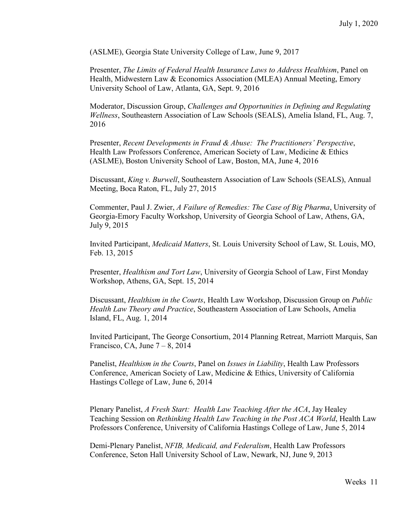(ASLME), Georgia State University College of Law, June 9, 2017

Presenter, *The Limits of Federal Health Insurance Laws to Address Healthism*, Panel on Health, Midwestern Law & Economics Association (MLEA) Annual Meeting, Emory University School of Law, Atlanta, GA, Sept. 9, 2016

Moderator, Discussion Group, *Challenges and Opportunities in Defining and Regulating Wellness*, Southeastern Association of Law Schools (SEALS), Amelia Island, FL, Aug. 7, 2016

Presenter, *Recent Developments in Fraud & Abuse: The Practitioners' Perspective*, Health Law Professors Conference, American Society of Law, Medicine & Ethics (ASLME), Boston University School of Law, Boston, MA, June 4, 2016

Discussant, *King v. Burwell*, Southeastern Association of Law Schools (SEALS), Annual Meeting, Boca Raton, FL, July 27, 2015

Commenter, Paul J. Zwier, *A Failure of Remedies: The Case of Big Pharma*, University of Georgia-Emory Faculty Workshop, University of Georgia School of Law, Athens, GA, July 9, 2015

Invited Participant, *Medicaid Matters*, St. Louis University School of Law, St. Louis, MO, Feb. 13, 2015

Presenter, *Healthism and Tort Law*, University of Georgia School of Law, First Monday Workshop, Athens, GA, Sept. 15, 2014

Discussant, *Healthism in the Courts*, Health Law Workshop, Discussion Group on *Public Health Law Theory and Practice*, Southeastern Association of Law Schools, Amelia Island, FL, Aug. 1, 2014

Invited Participant, The George Consortium, 2014 Planning Retreat, Marriott Marquis, San Francisco, CA, June  $7-8$ , 2014

Panelist, *Healthism in the Courts*, Panel on *Issues in Liability*, Health Law Professors Conference, American Society of Law, Medicine & Ethics, University of California Hastings College of Law, June 6, 2014

Plenary Panelist, *A Fresh Start: Health Law Teaching After the ACA*, Jay Healey Teaching Session on *Rethinking Health Law Teaching in the Post ACA World*, Health Law Professors Conference, University of California Hastings College of Law, June 5, 2014

Demi-Plenary Panelist, *NFIB, Medicaid, and Federalism*, Health Law Professors Conference, Seton Hall University School of Law, Newark, NJ, June 9, 2013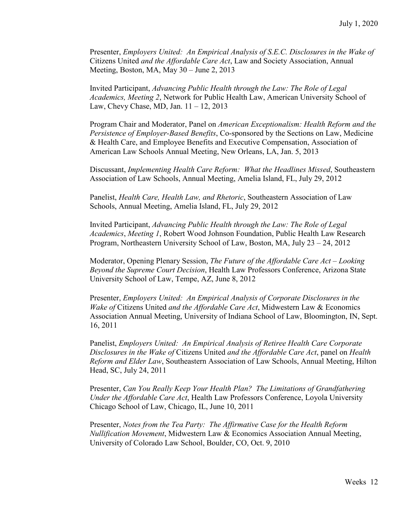Presenter, *Employers United: An Empirical Analysis of S.E.C. Disclosures in the Wake of*  Citizens United *and the Affordable Care Act*, Law and Society Association, Annual Meeting, Boston, MA, May 30 – June 2, 2013

Invited Participant, *Advancing Public Health through the Law: The Role of Legal Academics, Meeting 2*, Network for Public Health Law, American University School of Law, Chevy Chase, MD, Jan. 11 – 12, 2013

Program Chair and Moderator, Panel on *American Exceptionalism: Health Reform and the Persistence of Employer-Based Benefits*, Co-sponsored by the Sections on Law, Medicine & Health Care, and Employee Benefits and Executive Compensation, Association of American Law Schools Annual Meeting, New Orleans, LA, Jan. 5, 2013

Discussant, *Implementing Health Care Reform: What the Headlines Missed*, Southeastern Association of Law Schools, Annual Meeting, Amelia Island, FL, July 29, 2012

Panelist, *Health Care, Health Law, and Rhetoric*, Southeastern Association of Law Schools, Annual Meeting, Amelia Island, FL, July 29, 2012

Invited Participant, *Advancing Public Health through the Law: The Role of Legal Academics*, *Meeting 1*, Robert Wood Johnson Foundation, Public Health Law Research Program, Northeastern University School of Law, Boston, MA, July 23 – 24, 2012

Moderator, Opening Plenary Session, *The Future of the Affordable Care Act – Looking Beyond the Supreme Court Decision*, Health Law Professors Conference, Arizona State University School of Law, Tempe, AZ, June 8, 2012

Presenter, *Employers United: An Empirical Analysis of Corporate Disclosures in the Wake of* Citizens United *and the Affordable Care Act*, Midwestern Law & Economics Association Annual Meeting, University of Indiana School of Law, Bloomington, IN, Sept. 16, 2011

Panelist, *Employers United: An Empirical Analysis of Retiree Health Care Corporate Disclosures in the Wake of* Citizens United *and the Affordable Care Act*, panel on *Health Reform and Elder Law*, Southeastern Association of Law Schools, Annual Meeting, Hilton Head, SC, July 24, 2011

Presenter, *Can You Really Keep Your Health Plan? The Limitations of Grandfathering Under the Affordable Care Act*, Health Law Professors Conference, Loyola University Chicago School of Law, Chicago, IL, June 10, 2011

Presenter, *Notes from the Tea Party: The Affirmative Case for the Health Reform Nullification Movement*, Midwestern Law & Economics Association Annual Meeting, University of Colorado Law School, Boulder, CO, Oct. 9, 2010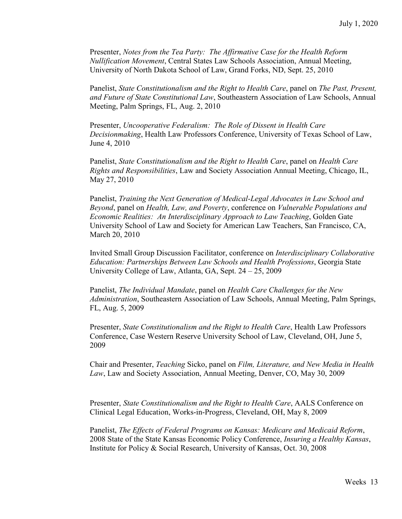Presenter, *Notes from the Tea Party: The Affirmative Case for the Health Reform Nullification Movement*, Central States Law Schools Association, Annual Meeting, University of North Dakota School of Law, Grand Forks, ND, Sept. 25, 2010

Panelist, *State Constitutionalism and the Right to Health Care*, panel on *The Past, Present, and Future of State Constitutional Law*, Southeastern Association of Law Schools, Annual Meeting, Palm Springs, FL, Aug. 2, 2010

Presenter, *Uncooperative Federalism: The Role of Dissent in Health Care Decisionmaking*, Health Law Professors Conference, University of Texas School of Law, June 4, 2010

Panelist, *State Constitutionalism and the Right to Health Care*, panel on *Health Care Rights and Responsibilities*, Law and Society Association Annual Meeting, Chicago, IL, May 27, 2010

Panelist, *Training the Next Generation of Medical-Legal Advocates in Law School and Beyond*, panel on *Health, Law, and Poverty*, conference on *Vulnerable Populations and Economic Realities: An Interdisciplinary Approach to Law Teaching*, Golden Gate University School of Law and Society for American Law Teachers, San Francisco, CA, March 20, 2010

Invited Small Group Discussion Facilitator, conference on *Interdisciplinary Collaborative Education: Partnerships Between Law Schools and Health Professions*, Georgia State University College of Law, Atlanta, GA, Sept. 24 – 25, 2009

Panelist, *The Individual Mandate*, panel on *Health Care Challenges for the New Administration*, Southeastern Association of Law Schools, Annual Meeting, Palm Springs, FL, Aug. 5, 2009

Presenter, *State Constitutionalism and the Right to Health Care*, Health Law Professors Conference, Case Western Reserve University School of Law, Cleveland, OH, June 5, 2009

Chair and Presenter, *Teaching* Sicko, panel on *Film, Literature, and New Media in Health Law*, Law and Society Association, Annual Meeting, Denver, CO, May 30, 2009

Presenter, *State Constitutionalism and the Right to Health Care*, AALS Conference on Clinical Legal Education, Works-in-Progress, Cleveland, OH, May 8, 2009

Panelist, *The Effects of Federal Programs on Kansas: Medicare and Medicaid Reform*, 2008 State of the State Kansas Economic Policy Conference, *Insuring a Healthy Kansas*, Institute for Policy & Social Research, University of Kansas, Oct. 30, 2008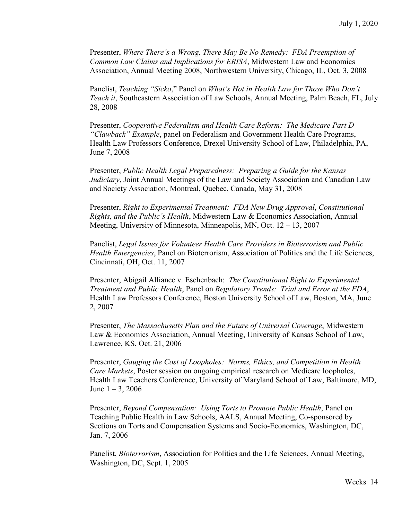Presenter, *Where There's a Wrong, There May Be No Remedy: FDA Preemption of Common Law Claims and Implications for ERISA*, Midwestern Law and Economics Association, Annual Meeting 2008, Northwestern University, Chicago, IL, Oct. 3, 2008

Panelist, *Teaching "Sicko*," Panel on *What's Hot in Health Law for Those Who Don't Teach it*, Southeastern Association of Law Schools, Annual Meeting, Palm Beach, FL, July 28, 2008

Presenter, *Cooperative Federalism and Health Care Reform: The Medicare Part D "Clawback" Example*, panel on Federalism and Government Health Care Programs, Health Law Professors Conference, Drexel University School of Law, Philadelphia, PA, June 7, 2008

Presenter, *Public Health Legal Preparedness: Preparing a Guide for the Kansas Judiciary*, Joint Annual Meetings of the Law and Society Association and Canadian Law and Society Association, Montreal, Quebec, Canada, May 31, 2008

Presenter, *Right to Experimental Treatment: FDA New Drug Approval*, *Constitutional Rights, and the Public's Health*, Midwestern Law & Economics Association, Annual Meeting, University of Minnesota, Minneapolis, MN, Oct. 12 – 13, 2007

Panelist, *Legal Issues for Volunteer Health Care Providers in Bioterrorism and Public Health Emergencies*, Panel on Bioterrorism, Association of Politics and the Life Sciences, Cincinnati, OH, Oct. 11, 2007

Presenter, Abigail Alliance v. Eschenbach: *The Constitutional Right to Experimental Treatment and Public Health*, Panel on *Regulatory Trends: Trial and Error at the FDA*, Health Law Professors Conference, Boston University School of Law, Boston, MA, June 2, 2007

Presenter, *The Massachusetts Plan and the Future of Universal Coverage*, Midwestern Law & Economics Association, Annual Meeting, University of Kansas School of Law, Lawrence, KS, Oct. 21, 2006

Presenter, *Gauging the Cost of Loopholes: Norms, Ethics, and Competition in Health Care Markets*, Poster session on ongoing empirical research on Medicare loopholes, Health Law Teachers Conference, University of Maryland School of Law, Baltimore, MD, June  $1 - 3$ , 2006

Presenter, *Beyond Compensation: Using Torts to Promote Public Health*, Panel on Teaching Public Health in Law Schools, AALS, Annual Meeting, Co-sponsored by Sections on Torts and Compensation Systems and Socio-Economics, Washington, DC, Jan. 7, 2006

Panelist, *Bioterrorism*, Association for Politics and the Life Sciences, Annual Meeting, Washington, DC, Sept. 1, 2005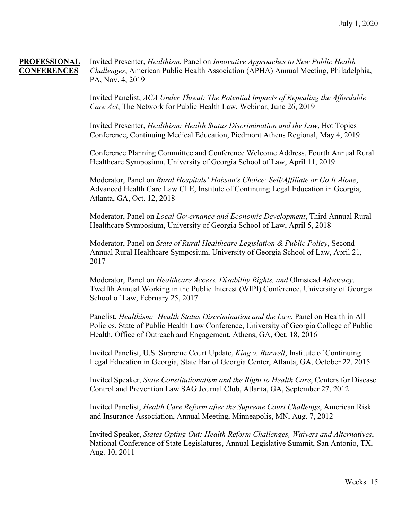**PROFESSIONAL** Invited Presenter, *Healthism*, Panel on *Innovative Approaches to New Public Health*  **CONFERENCES** *Challenges*, American Public Health Association (APHA) Annual Meeting, Philadelphia, PA, Nov. 4, 2019

> Invited Panelist, *ACA Under Threat: The Potential Impacts of Repealing the Affordable Care Act*, The Network for Public Health Law, Webinar, June 26, 2019

Invited Presenter, *Healthism: Health Status Discrimination and the Law*, Hot Topics Conference, Continuing Medical Education, Piedmont Athens Regional, May 4, 2019

Conference Planning Committee and Conference Welcome Address, Fourth Annual Rural Healthcare Symposium, University of Georgia School of Law, April 11, 2019

Moderator, Panel on *Rural Hospitals' Hobson's Choice: Sell/Affiliate or Go It Alone*, Advanced Health Care Law CLE, Institute of Continuing Legal Education in Georgia, Atlanta, GA, Oct. 12, 2018

Moderator, Panel on *Local Governance and Economic Development*, Third Annual Rural Healthcare Symposium, University of Georgia School of Law, April 5, 2018

Moderator, Panel on *State of Rural Healthcare Legislation & Public Policy*, Second Annual Rural Healthcare Symposium, University of Georgia School of Law, April 21, 2017

Moderator, Panel on *Healthcare Access, Disability Rights, and* Olmstead *Advocacy*, Twelfth Annual Working in the Public Interest (WIPI) Conference, University of Georgia School of Law, February 25, 2017

Panelist, *Healthism: Health Status Discrimination and the Law*, Panel on Health in All Policies, State of Public Health Law Conference, University of Georgia College of Public Health, Office of Outreach and Engagement, Athens, GA, Oct. 18, 2016

Invited Panelist, U.S. Supreme Court Update, *King v. Burwell*, Institute of Continuing Legal Education in Georgia, State Bar of Georgia Center, Atlanta, GA, October 22, 2015

Invited Speaker, *State Constitutionalism and the Right to Health Care*, Centers for Disease Control and Prevention Law SAG Journal Club, Atlanta, GA, September 27, 2012

Invited Panelist, *Health Care Reform after the Supreme Court Challenge*, American Risk and Insurance Association, Annual Meeting, Minneapolis, MN, Aug. 7, 2012

Invited Speaker, *States Opting Out: Health Reform Challenges, Waivers and Alternatives*, National Conference of State Legislatures, Annual Legislative Summit, San Antonio, TX, Aug. 10, 2011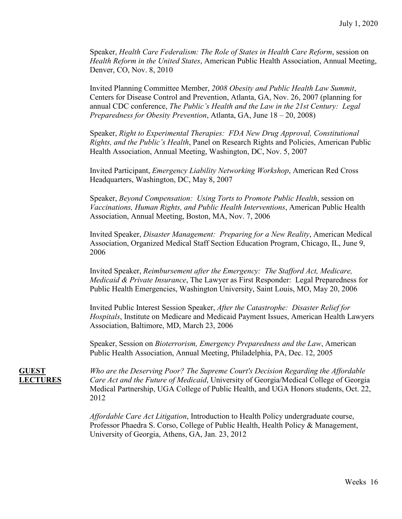Speaker, *Health Care Federalism: The Role of States in Health Care Reform*, session on *Health Reform in the United States*, American Public Health Association, Annual Meeting, Denver, CO, Nov. 8, 2010

Invited Planning Committee Member, *2008 Obesity and Public Health Law Summit*, Centers for Disease Control and Prevention, Atlanta, GA, Nov. 26, 2007 (planning for annual CDC conference, *The Public's Health and the Law in the 21st Century: Legal Preparedness for Obesity Prevention*, Atlanta, GA, June 18 – 20, 2008)

Speaker, *Right to Experimental Therapies: FDA New Drug Approval, Constitutional Rights, and the Public's Health*, Panel on Research Rights and Policies, American Public Health Association, Annual Meeting, Washington, DC, Nov. 5, 2007

Invited Participant, *Emergency Liability Networking Workshop*, American Red Cross Headquarters, Washington, DC, May 8, 2007

Speaker, *Beyond Compensation: Using Torts to Promote Public Health*, session on *Vaccinations, Human Rights, and Public Health Interventions*, American Public Health Association, Annual Meeting, Boston, MA, Nov. 7, 2006

Invited Speaker, *Disaster Management: Preparing for a New Reality*, American Medical Association, Organized Medical Staff Section Education Program, Chicago, IL, June 9, 2006

Invited Speaker, *Reimbursement after the Emergency: The Stafford Act, Medicare, Medicaid & Private Insurance*, The Lawyer as First Responder: Legal Preparedness for Public Health Emergencies, Washington University, Saint Louis, MO, May 20, 2006

Invited Public Interest Session Speaker, *After the Catastrophe: Disaster Relief for Hospitals*, Institute on Medicare and Medicaid Payment Issues, American Health Lawyers Association, Baltimore, MD, March 23, 2006

Speaker, Session on *Bioterrorism, Emergency Preparedness and the Law*, American Public Health Association, Annual Meeting, Philadelphia, PA, Dec. 12, 2005

**GUEST** *Who are the Deserving Poor? The Supreme Court's Decision Regarding the Affordable*  **LECTURES** *Care Act and the Future of Medicaid*, University of Georgia/Medical College of Georgia Medical Partnership, UGA College of Public Health, and UGA Honors students, Oct. 22, 2012

> *Affordable Care Act Litigation*, Introduction to Health Policy undergraduate course, Professor Phaedra S. Corso, College of Public Health, Health Policy & Management, University of Georgia, Athens, GA, Jan. 23, 2012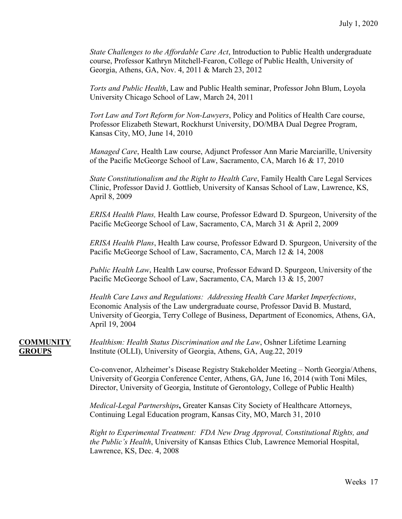*State Challenges to the Affordable Care Act*, Introduction to Public Health undergraduate course, Professor Kathryn Mitchell-Fearon, College of Public Health, University of Georgia, Athens, GA, Nov. 4, 2011 & March 23, 2012

*Torts and Public Health*, Law and Public Health seminar, Professor John Blum, Loyola University Chicago School of Law, March 24, 2011

*Tort Law and Tort Reform for Non-Lawyers*, Policy and Politics of Health Care course, Professor Elizabeth Stewart, Rockhurst University, DO/MBA Dual Degree Program, Kansas City, MO, June 14, 2010

*Managed Care*, Health Law course, Adjunct Professor Ann Marie Marciarille, University of the Pacific McGeorge School of Law, Sacramento, CA, March 16 & 17, 2010

*State Constitutionalism and the Right to Health Care*, Family Health Care Legal Services Clinic, Professor David J. Gottlieb, University of Kansas School of Law, Lawrence, KS, April 8, 2009

*ERISA Health Plans,* Health Law course, Professor Edward D. Spurgeon, University of the Pacific McGeorge School of Law, Sacramento, CA, March 31 & April 2, 2009

*ERISA Health Plans*, Health Law course, Professor Edward D. Spurgeon, University of the Pacific McGeorge School of Law, Sacramento, CA, March 12 & 14, 2008

*Public Health Law*, Health Law course, Professor Edward D. Spurgeon, University of the Pacific McGeorge School of Law, Sacramento, CA, March 13 & 15, 2007

*Health Care Laws and Regulations: Addressing Health Care Market Imperfections*, Economic Analysis of the Law undergraduate course, Professor David B. Mustard, University of Georgia, Terry College of Business, Department of Economics, Athens, GA, April 19, 2004

**COMMUNITY** *Healthism: Health Status Discrimination and the Law*, Oshner Lifetime Learning **GROUPS** Institute (OLLI), University of Georgia, Athens, GA, Aug.22, 2019

> Co-convenor, Alzheimer's Disease Registry Stakeholder Meeting – North Georgia/Athens, University of Georgia Conference Center, Athens, GA, June 16, 2014 (with Toni Miles, Director, University of Georgia, Institute of Gerontology, College of Public Health)

*Medical-Legal Partnerships***,** Greater Kansas City Society of Healthcare Attorneys, Continuing Legal Education program, Kansas City, MO, March 31, 2010

*Right to Experimental Treatment: FDA New Drug Approval, Constitutional Rights, and the Public's Health*, University of Kansas Ethics Club, Lawrence Memorial Hospital, Lawrence, KS, Dec. 4, 2008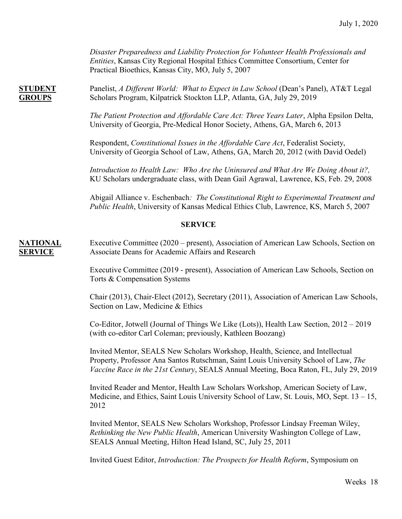*Disaster Preparedness and Liability Protection for Volunteer Health Professionals and Entities*, Kansas City Regional Hospital Ethics Committee Consortium, Center for Practical Bioethics, Kansas City, MO, July 5, 2007

**STUDENT** Panelist, *A Different World: What to Expect in Law School* (Dean's Panel), AT&T Legal **GROUPS** Scholars Program, Kilpatrick Stockton LLP, Atlanta, GA, July 29, 2019

> *The Patient Protection and Affordable Care Act: Three Years Later*, Alpha Epsilon Delta, University of Georgia, Pre-Medical Honor Society, Athens, GA, March 6, 2013

Respondent, *Constitutional Issues in the Affordable Care Act*, Federalist Society, University of Georgia School of Law, Athens, GA, March 20, 2012 (with David Oedel)

*Introduction to Health Law: Who Are the Uninsured and What Are We Doing About it?,*  KU Scholars undergraduate class, with Dean Gail Agrawal, Lawrence, KS, Feb. 29, 2008

Abigail Alliance v. Eschenbach*: The Constitutional Right to Experimental Treatment and Public Health*, University of Kansas Medical Ethics Club, Lawrence, KS, March 5, 2007

### **SERVICE**

**NATIONAL** Executive Committee (2020 – present), Association of American Law Schools, Section on **SERVICE** Associate Deans for Academic Affairs and Research

> Executive Committee (2019 - present), Association of American Law Schools, Section on Torts & Compensation Systems

Chair (2013), Chair-Elect (2012), Secretary (2011), Association of American Law Schools, Section on Law, Medicine & Ethics

Co-Editor, Jotwell (Journal of Things We Like (Lots)), Health Law Section, 2012 – 2019 (with co-editor Carl Coleman; previously, Kathleen Boozang)

Invited Mentor, SEALS New Scholars Workshop, Health, Science, and Intellectual Property, Professor Ana Santos Rutschman, Saint Louis University School of Law, *The Vaccine Race in the 21st Century*, SEALS Annual Meeting, Boca Raton, FL, July 29, 2019

Invited Reader and Mentor, Health Law Scholars Workshop, American Society of Law, Medicine, and Ethics, Saint Louis University School of Law, St. Louis, MO, Sept. 13 – 15, 2012

Invited Mentor, SEALS New Scholars Workshop, Professor Lindsay Freeman Wiley, *Rethinking the New Public Health*, American University Washington College of Law, SEALS Annual Meeting, Hilton Head Island, SC, July 25, 2011

Invited Guest Editor, *Introduction: The Prospects for Health Reform*, Symposium on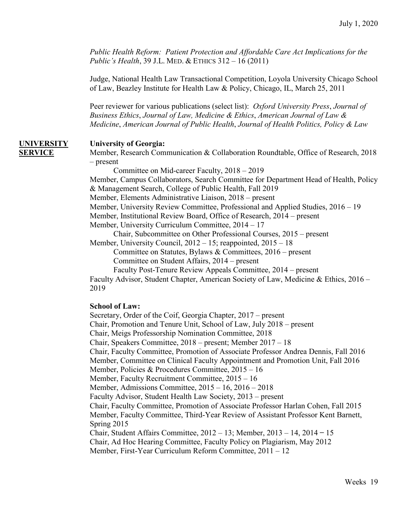*Public Health Reform: Patient Protection and Affordable Care Act Implications for the Public's Health*, 39 J.L. MED. & ETHICS 312 – 16 (2011)

Judge, National Health Law Transactional Competition, Loyola University Chicago School of Law, Beazley Institute for Health Law & Policy, Chicago, IL, March 25, 2011

Peer reviewer for various publications (select list): *Oxford University Press*, *Journal of Business Ethics*, *Journal of Law, Medicine & Ethics*, *American Journal of Law & Medicine*, *American Journal of Public Health*, *Journal of Health Politics, Policy & Law*

### **UNIVERSITY University of Georgia:**

**SERVICE** Member, Research Communication & Collaboration Roundtable, Office of Research, 2018 – present

Committee on Mid-career Faculty, 2018 – 2019

Member, Campus Collaborators, Search Committee for Department Head of Health, Policy & Management Search, College of Public Health, Fall 2019

Member, Elements Administrative Liaison, 2018 – present

Member, University Review Committee, Professional and Applied Studies, 2016 – 19

Member, Institutional Review Board, Office of Research, 2014 – present

Member, University Curriculum Committee, 2014 – 17

Chair, Subcommittee on Other Professional Courses, 2015 – present

Member, University Council, 2012 – 15; reappointed, 2015 – 18

Committee on Statutes, Bylaws & Committees, 2016 – present Committee on Student Affairs, 2014 – present

Faculty Post-Tenure Review Appeals Committee, 2014 – present

Faculty Advisor, Student Chapter, American Society of Law, Medicine & Ethics, 2016 – 2019

### **School of Law:**

Secretary, Order of the Coif, Georgia Chapter, 2017 – present Chair, Promotion and Tenure Unit, School of Law, July 2018 – present Chair, Meigs Professorship Nomination Committee, 2018 Chair, Speakers Committee, 2018 – present; Member 2017 – 18 Chair, Faculty Committee, Promotion of Associate Professor Andrea Dennis, Fall 2016 Member, Committee on Clinical Faculty Appointment and Promotion Unit, Fall 2016 Member, Policies & Procedures Committee, 2015 – 16 Member, Faculty Recruitment Committee, 2015 – 16 Member, Admissions Committee, 2015 – 16, 2016 – 2018 Faculty Advisor, Student Health Law Society, 2013 – present Chair, Faculty Committee, Promotion of Associate Professor Harlan Cohen, Fall 2015 Member, Faculty Committee, Third-Year Review of Assistant Professor Kent Barnett, Spring 2015 Chair, Student Affairs Committee,  $2012 - 13$ ; Member,  $2013 - 14$ ,  $2014 - 15$ Chair, Ad Hoc Hearing Committee, Faculty Policy on Plagiarism, May 2012 Member, First-Year Curriculum Reform Committee, 2011 – 12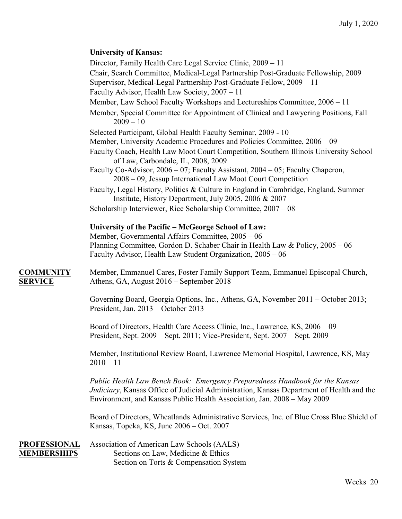### **University of Kansas:**

Director, Family Health Care Legal Service Clinic, 2009 – 11 Chair, Search Committee, Medical-Legal Partnership Post-Graduate Fellowship, 2009 Supervisor, Medical-Legal Partnership Post-Graduate Fellow, 2009 – 11 Faculty Advisor, Health Law Society, 2007 – 11 Member, Law School Faculty Workshops and Lectureships Committee, 2006 – 11 Member, Special Committee for Appointment of Clinical and Lawyering Positions, Fall  $2009 - 10$ Selected Participant, Global Health Faculty Seminar, 2009 - 10 Member, University Academic Procedures and Policies Committee, 2006 – 09 Faculty Coach, Health Law Moot Court Competition, Southern Illinois University School of Law, Carbondale, IL, 2008, 2009 Faculty Co-Advisor, 2006 – 07; Faculty Assistant, 2004 – 05; Faculty Chaperon, 2008 – 09, Jessup International Law Moot Court Competition Faculty, Legal History, Politics & Culture in England in Cambridge, England, Summer Institute, History Department, July 2005, 2006 & 2007 Scholarship Interviewer, Rice Scholarship Committee, 2007 – 08 **University of the Pacific – McGeorge School of Law:** Member, Governmental Affairs Committee, 2005 – 06 Planning Committee, Gordon D. Schaber Chair in Health Law & Policy, 2005 – 06 Faculty Advisor, Health Law Student Organization, 2005 – 06 **COMMUNITY** Member, Emmanuel Cares, Foster Family Support Team, Emmanuel Episcopal Church, **SERVICE** Athens, GA, August 2016 – September 2018 Governing Board, Georgia Options, Inc., Athens, GA, November 2011 – October 2013; President, Jan. 2013 – October 2013 Board of Directors, Health Care Access Clinic, Inc., Lawrence, KS, 2006 – 09 President, Sept. 2009 – Sept. 2011; Vice-President, Sept. 2007 – Sept. 2009 Member, Institutional Review Board, Lawrence Memorial Hospital, Lawrence, KS, May  $2010 - 11$ *Public Health Law Bench Book: Emergency Preparedness Handbook for the Kansas Judiciary*, Kansas Office of Judicial Administration, Kansas Department of Health and the Environment, and Kansas Public Health Association, Jan. 2008 – May 2009 Board of Directors, Wheatlands Administrative Services, Inc. of Blue Cross Blue Shield of Kansas, Topeka, KS, June 2006 – Oct. 2007

**PROFESSIONAL** Association of American Law Schools (AALS) **MEMBERSHIPS** Sections on Law, Medicine & Ethics Section on Torts & Compensation System